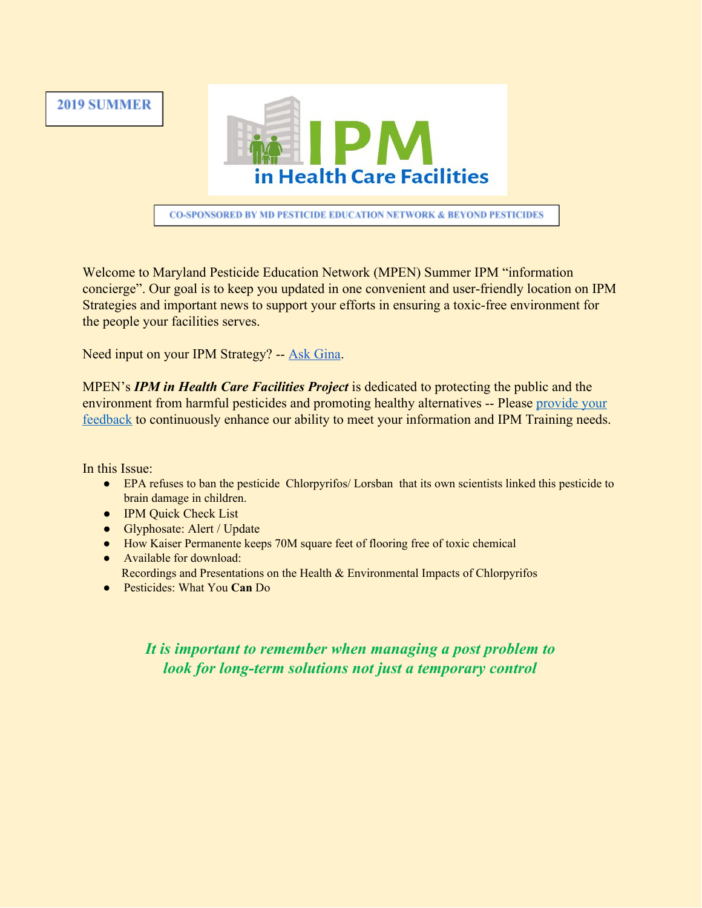



**CO-SPONSORED BY MD PESTICIDE EDUCATION NETWORK & BEYOND PESTICIDES** 

Welcome to Maryland Pesticide Education Network (MPEN) Summer IPM "information concierge". Our goal is to keep you updated in one convenient and user-friendly location on IPM Strategies and important news to support your efforts in ensuring a toxic-free environment for the people your facilities serves.

Need input on your IPM Strategy? -- [Ask Gina](mailto:gnavarro@mdpestnet.org).

MPEN's *IPM in Health Care Facilities Project* is dedicated to protecting the public and the environment from harmful pesticides and promoting healthy alternatives -- Please [provide your](mailto:gnavarro@mdpestnet.org?subject=2019%20Summer%20Issue%20Feedback) [feedback](mailto:gnavarro@mdpestnet.org?subject=2019%20Summer%20Issue%20Feedback) to continuously enhance our ability to meet your information and IPM Training needs.

In this Issue:

- EPA refuses to ban the pesticide Chlorpyrifos/Lorsban that its own scientists linked this pesticide to brain damage in children.
- IPM Quick Check List
- Glyphosate: Alert / Update
- How Kaiser Permanente keeps 70M square feet of flooring free of toxic chemical
- Available for download: Recordings and Presentations on the Health & Environmental Impacts of Chlorpyrifos
- Pesticides: What You **Can** Do

## *It is important to remember when managing a post problem to look for long-term solutions not just a temporary control*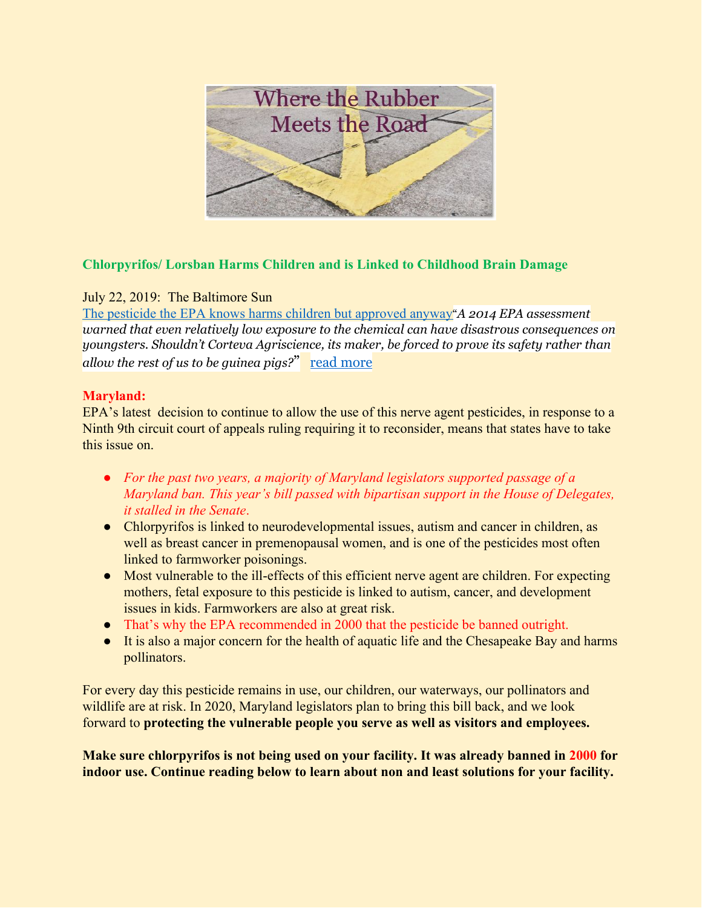

## **Chlorpyrifos/ Lorsban Harms Children and is Linked to Childhood Brain Damage**

## July 22, 2019: The Baltimore Sun

[The pesticide the EPA knows harms children but approved anyway](https://www.baltimoresun.com/opinion/editorial/bs-ed-0722-epa-chlorpyrifos-20190722-6uujgsba7ned5atgmueqbue4a4-story.html)"*A 2014 EPA assessment warned that even relatively low exposure to the chemical can have disastrous consequences on youngsters. Shouldn't Corteva Agriscience, its maker, be forced to prove its safety rather than allow the rest of us to be guinea pigs?*" [read more](https://www.baltimoresun.com/opinion/editorial/bs-ed-0722-epa-chlorpyrifos-20190722-6uujgsba7ned5atgmueqbue4a4-story.html)

## **Maryland:**

EPA's latest decision to continue to allow the use of this nerve agent pesticides, in response to a Ninth 9th circuit court of appeals ruling requiring it to reconsider, means that states have to take this issue on.

- *For the past two years, a majority of Maryland legislators supported passage of a Maryland ban. This year's bill passed with bipartisan support in the House of Delegates, it stalled in the Senate*.
- Chlorpyrifos is linked to neurodevelopmental issues, autism and cancer in children, as well as breast cancer in premenopausal women, and is one of the pesticides most often linked to farmworker poisonings.
- Most vulnerable to the ill-effects of this efficient nerve agent are children. For expecting mothers, fetal exposure to this pesticide is linked to autism, cancer, and development issues in kids. Farmworkers are also at great risk.
- That's why the EPA recommended in 2000 that the pesticide be banned outright.
- It is also a major concern for the health of aquatic life and the Chesapeake Bay and harms pollinators.

For every day this pesticide remains in use, our children, our waterways, our pollinators and wildlife are at risk. In 2020, Maryland legislators plan to bring this bill back, and we look forward to **protecting the vulnerable people you serve as well as visitors and employees.**

**Make sure chlorpyrifos is not being used on your facility. It was already banned in 2000 for indoor use. Continue reading below to learn about non and least solutions for your facility.**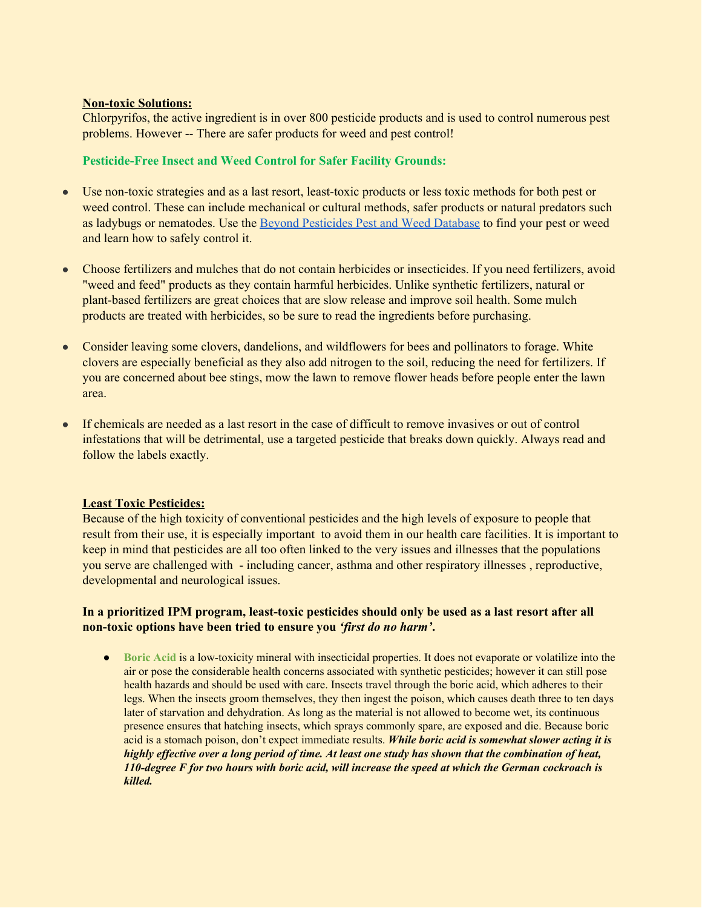#### **Non-toxic Solutions:**

Chlorpyrifos, the active ingredient is in over 800 pesticide products and is used to control numerous pest problems. However -- There are safer products for weed and pest control!

#### **Pesticide-Free Insect and Weed Control for Safer Facility Grounds:**

- Use non-toxic strategies and as a last resort, least-toxic products or less toxic methods for both pest or weed control. These can include mechanical or cultural methods, safer products or natural predators such as ladybugs or nematodes. Use the Beyond [Pesticides](https://www.beyondpesticides.org/resources/pesticide-gateway/about-the-gateway) Pest and Weed Database to find your pest or weed and learn how to safely control it.
- Choose fertilizers and mulches that do not contain herbicides or insecticides. If you need fertilizers, avoid "weed and feed" products as they contain harmful herbicides. Unlike synthetic fertilizers, natural or plant-based fertilizers are great choices that are slow release and improve soil health. Some mulch products are treated with herbicides, so be sure to read the ingredients before purchasing.
- Consider leaving some clovers, dandelions, and wildflowers for bees and pollinators to forage. White clovers are especially beneficial as they also add nitrogen to the soil, reducing the need for fertilizers. If you are concerned about bee stings, mow the lawn to remove flower heads before people enter the lawn area.
- If chemicals are needed as a last resort in the case of difficult to remove invasives or out of control infestations that will be detrimental, use a targeted pesticide that breaks down quickly. Always read and follow the labels exactly.

#### **Least Toxic Pesticides:**

Because of the high toxicity of conventional pesticides and the high levels of exposure to people that result from their use, it is especially important to avoid them in our health care facilities. It is important to keep in mind that pesticides are all too often linked to the very issues and illnesses that the populations you serve are challenged with - including cancer, asthma and other respiratory illnesses , reproductive, developmental and neurological issues.

#### **In a prioritized IPM program, least-toxic pesticides should only be used as a last resort after all non-toxic options have been tried to ensure you** *'first do no harm'***.**

**•** Boric Acid is a low-toxicity mineral with insecticidal properties. It does not evaporate or volatilize into the air or pose the considerable health concerns associated with synthetic pesticides; however it can still pose health hazards and should be used with care. Insects travel through the boric acid, which adheres to their legs. When the insects groom themselves, they then ingest the poison, which causes death three to ten days later of starvation and dehydration. As long as the material is not allowed to become wet, its continuous presence ensures that hatching insects, which sprays commonly spare, are exposed and die. Because boric acid is a stomach poison, don't expect immediate results. *While boric acid is somewhat slower acting it is* highly effective over a long period of time. At least one study has shown that the combination of heat, 110-degree F for two hours with boric acid, will increase the speed at which the German cockroach is *killed.*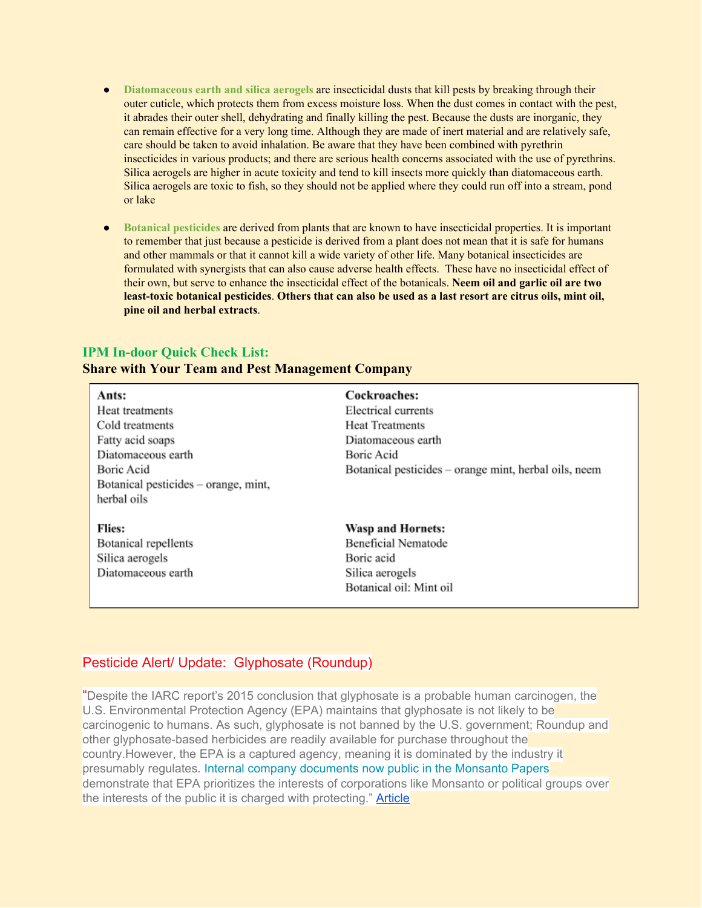- **Diatomaceous earth and silica aerogels** are insecticidal dusts that kill pests by breaking through their outer cuticle, which protects them from excess moisture loss. When the dust comes in contact with the pest, it abrades their outer shell, dehydrating and finally killing the pest. Because the dusts are inorganic, they can remain effective for a very long time. Although they are made of inert material and are relatively safe, care should be taken to avoid inhalation. Be aware that they have been combined with pyrethrin insecticides in various products; and there are serious health concerns associated with the use of pyrethrins. Silica aerogels are higher in acute toxicity and tend to kill insects more quickly than diatomaceous earth. Silica aerogels are toxic to fish, so they should not be applied where they could run off into a stream, pond or lake
- **Botanical pesticides** are derived from plants that are known to have insecticidal properties. It is important to remember that just because a pesticide is derived from a plant does not mean that it is safe for humans and other mammals or that it cannot kill a wide variety of other life. Many botanical insecticides are formulated with synergists that can also cause adverse health effects. These have no insecticidal effect of their own, but serve to enhance the insecticidal effect of the botanicals. **Neem oil and garlic oil are two** least-toxic botanical pesticides. Others that can also be used as a last resort are citrus oils, mint oil, **pine oil and herbal extracts**.

#### **IPM In-door Quick Check List:**

#### **Share with Your Team and Pest Management Company**

| Ants:                                | Cockroaches:                                          |
|--------------------------------------|-------------------------------------------------------|
| Heat treatments                      | Electrical currents                                   |
| Cold treatments                      | <b>Heat Treatments</b>                                |
| Fatty acid soaps                     | Diatomaceous earth                                    |
| Diatomaceous earth                   | Boric Acid                                            |
| Boric Acid                           | Botanical pesticides – orange mint, herbal oils, neem |
| Botanical pesticides – orange, mint, |                                                       |
| herbal oils                          |                                                       |
| <b>Flies:</b>                        | Wasp and Hornets:                                     |
| Botanical repellents                 | Beneficial Nematode                                   |
| Silica aerogels                      | Boric acid                                            |
| Diatomaceous earth                   | Silica aerogels                                       |
|                                      | Botanical oil: Mint oil                               |
|                                      |                                                       |

#### Pesticide Alert/ Update: Glyphosate (Roundup)

"Despite the IARC report's 2015 conclusion that glyphosate is a probable human carcinogen, the U.S. Environmental Protection Agency (EPA) maintains that glyphosate is not likely to be carcinogenic to humans. As such, glyphosate is not banned by the U.S. government; Roundup and other glyphosate-based herbicides are readily available for purchase throughout the country.However, the EPA is a captured agency, meaning it is dominated by the industry it presumably regulates. [Internal company documents now public in the Monsanto Papers](https://www.baumhedlundlaw.com/toxic-tort-law/monsanto-roundup-lawsuit/monsanto-secret-documents/) demonstrate that EPA prioritizes the interests of corporations like Monsanto or political groups over the interests of the public it is charged with protecting." [Article](https://www.baumhedlundlaw.com/toxic-tort-law/monsanto-roundup-lawsuit/where-is-glyphosate-banned/)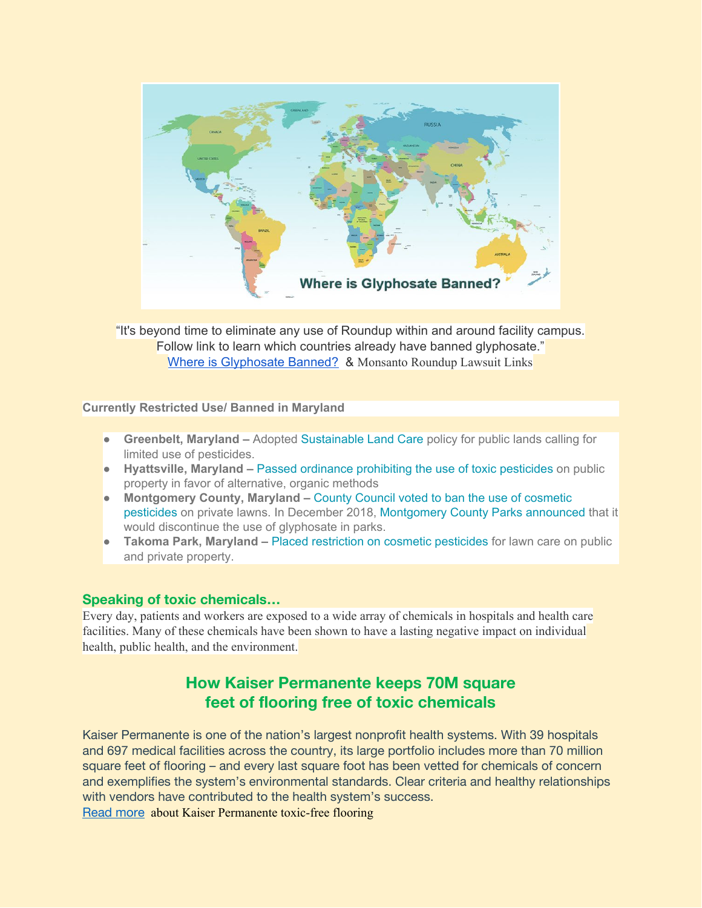

"It's beyond time to eliminate any use of Roundup within and around facility campus. Follow link to learn which countries already have banned glyphosate." Where is [Glyphosate](https://www.baumhedlundlaw.com/toxic-tort-law/monsanto-roundup-lawsuit/where-is-glyphosate-banned/) Banned? & Monsanto Roundup Lawsuit Links

**Currently Restricted Use/ Banned in Maryland**

- **Greenbelt, Maryland** Adopted [Sustainable Land Care](http://www.greenbeltmd.gov/documentcenter/view/1756) policy for public lands calling for limited use of pesticides.
- **Hyattsville, Maryland –** [Passed ordinance prohibiting the use of toxic pesticides](https://beyondpesticides.org/assets/media/documents/Hyattsville%20Sustainable%20LaBMP%2002.01.2016.pdf) on public property in favor of alternative, organic methods
- **Montgomery County, Maryland –** [County Council voted to ban the use of cosmetic](https://www.washingtonpost.com/local/md-politics/moco-becomes-first-major-locality-to-ban-cosmetic-pesticides-from-lawns/2015/10/06/ccb5df9a-6c55-11e5-b31c-d80d62b53e28_story.html?utm_term=.a09517c69e9e) [pesticides](https://www.washingtonpost.com/local/md-politics/moco-becomes-first-major-locality-to-ban-cosmetic-pesticides-from-lawns/2015/10/06/ccb5df9a-6c55-11e5-b31c-d80d62b53e28_story.html?utm_term=.a09517c69e9e) on private lawns. In December 2018, [Montgomery County Parks announced](https://www.montgomeryparks.org/montgomery-parks-will-discontinue-use-of-glyphosate-through-march-2019/) that it would discontinue the use of glyphosate in parks.
- **Takoma Park, Maryland –** [Placed restriction on cosmetic pesticides](https://takomaparkmd.gov/initiatives/safegrow/list-of-restricted-pesticides/) for lawn care on public and private property.

#### **Speaking of toxic chemicals…**

Every day, patients and workers are exposed to a wide array of chemicals in hospitals and health care facilities. Many of these chemicals have been shown to have a lasting negative impact on individual health, public health, and the environment.

# **How Kaiser Permanente keeps 70M square feet of flooring free of toxic chemicals**

Kaiser Permanente is one of the nation's largest nonprofit health systems. With 39 hospitals and 697 medical facilities across the country, its large portfolio includes more than 70 million square feet of flooring – and every last square foot has been vetted for chemicals of concern and exemplifies the system's environmental standards. Clear criteria and healthy relationships with vendors have contributed to the health system's success. [Read](https://medium.com/@HCWH/healthyflooringatkaiserpermanente-21661f86af3e) more about Kaiser Permanente toxic-free flooring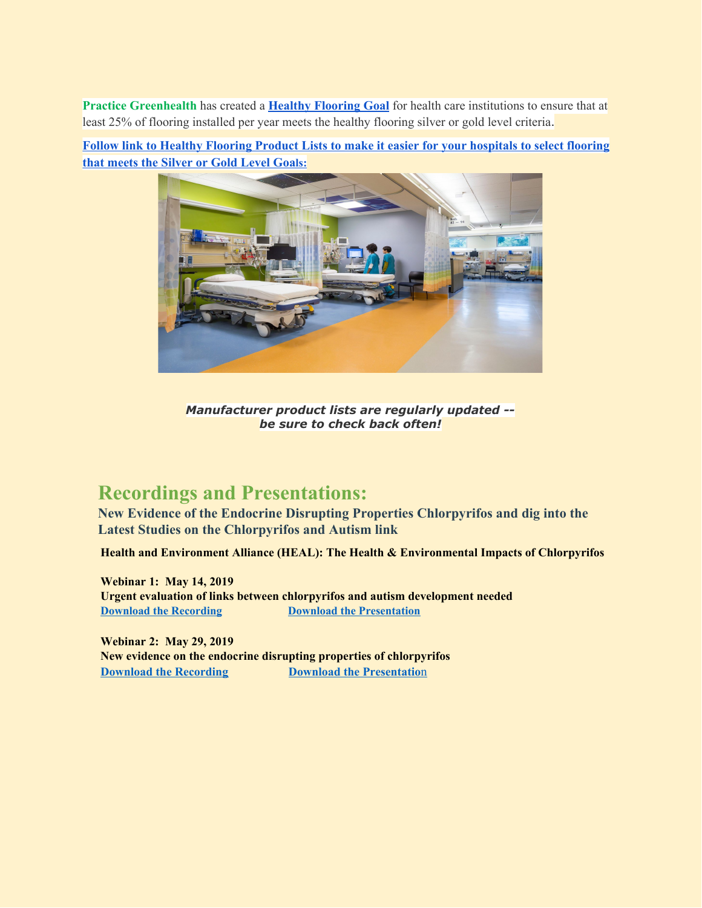**Practice Greenhealth** has created a **Healthy [Flooring](https://practicegreenhealth.org/healthyflooring) Goal** for health care institutions to ensure that at least 25% of flooring installed per year meets the healthy flooring silver or gold level criteria.

**Follow link to Healthy Flooring Product Lists to make it easier for your [hospitals](https://noharm-uscanada.org/content/us-canada/products-meet-healthy-flooring-criteria) to select flooring that meets the [Silver](https://noharm-uscanada.org/content/us-canada/products-meet-healthy-flooring-criteria) or Gold Level Goa[ls:](https://noharm-uscanada.org/content/us-canada/products-meet-healthy-flooring-criteria)**



*Manufacturer product lists are regularly updated - be sure to check back often!*

# **Recordings and Presentations:**

**New Evidence of the Endocrine Disrupting Properties Chlorpyrifos and dig into the Latest Studies on the Chlorpyrifos and Autism link**

 **Health and Environment Alliance (HEAL): The Health & Environmental Impacts of Chlorpyrifos**

 **Webinar 1: May 14, 2019 Urgent evaluation of links between chlorpyrifos and autism development needed** *<u>Download the [Recording](https://drive.google.com/file/d/1K52BYlp10odvOfJkMau1IoNk6hcElft4/view)</u>* **<b>Download the [Presentation](https://www.env-health.org/wp-content/uploads/2019/07/May-2019-Chlorpyrifos-and-Autism-Dr.-Katherine-Pelch.pdf)** 

 **Webinar 2: May 29, 2019 New evidence on the endocrine disrupting properties of chlorpyrifos [Download the Recording](https://drive.google.com/file/d/18byYjsYioiGqggigXLCwoCOclhmztKCI/view) bownload the Presentation**